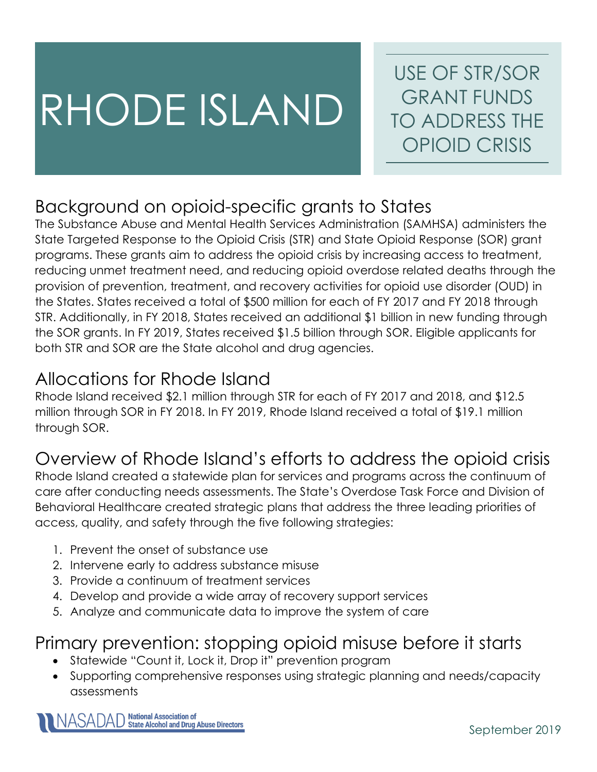# RHODE ISLAND

USE OF STR/SOR GRANT FUNDS TO ADDRESS THE OPIOID CRISIS

## Background on opioid-specific grants to States

The Substance Abuse and Mental Health Services Administration (SAMHSA) administers the State Targeted Response to the Opioid Crisis (STR) and State Opioid Response (SOR) grant programs. These grants aim to address the opioid crisis by increasing access to treatment, reducing unmet treatment need, and reducing opioid overdose related deaths through the provision of prevention, treatment, and recovery activities for opioid use disorder (OUD) in the States. States received a total of \$500 million for each of FY 2017 and FY 2018 through STR. Additionally, in FY 2018, States received an additional \$1 billion in new funding through the SOR grants. In FY 2019, States received \$1.5 billion through SOR. Eligible applicants for both STR and SOR are the State alcohol and drug agencies.

## Allocations for Rhode Island

Rhode Island received \$2.1 million through STR for each of FY 2017 and 2018, and \$12.5 million through SOR in FY 2018. In FY 2019, Rhode Island received a total of \$19.1 million through SOR.

# Overview of Rhode Island's efforts to address the opioid crisis

Rhode Island created a statewide plan for services and programs across the continuum of care after conducting needs assessments. The State's Overdose Task Force and Division of Behavioral Healthcare created strategic plans that address the three leading priorities of access, quality, and safety through the five following strategies:

- 1. Prevent the onset of substance use
- 2. Intervene early to address substance misuse
- 3. Provide a continuum of treatment services
- 4. Develop and provide a wide array of recovery support services
- 5. Analyze and communicate data to improve the system of care

#### Primary prevention: stopping opioid misuse before it starts

- Statewide "Count it, Lock it, Drop it" prevention program
- Supporting comprehensive responses using strategic planning and needs/capacity assessments

NASADAD National Association of<br>NASADAD State Alcohol and Drug Abuse Directors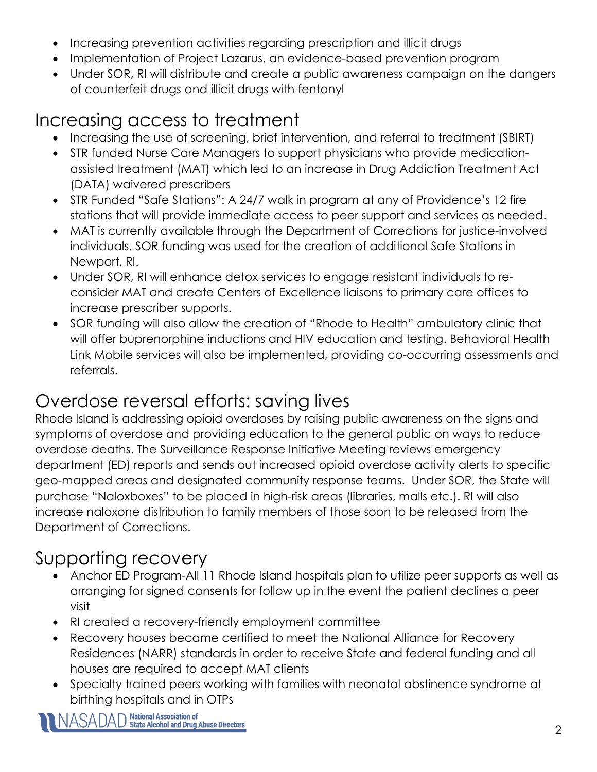- Increasing prevention activities regarding prescription and illicit drugs
- Implementation of Project Lazarus, an evidence-based prevention program
- Under SOR, RI will distribute and create a public awareness campaign on the dangers of counterfeit drugs and illicit drugs with fentanyl

## Increasing access to treatment

- Increasing the use of screening, brief intervention, and referral to treatment (SBIRT)
- STR funded Nurse Care Managers to support physicians who provide medicationassisted treatment (MAT) which led to an increase in Drug Addiction Treatment Act (DATA) waivered prescribers
- STR Funded "Safe Stations": A 24/7 walk in program at any of Providence's 12 fire stations that will provide immediate access to peer support and services as needed.
- MAT is currently available through the Department of Corrections for justice-involved individuals. SOR funding was used for the creation of additional Safe Stations in Newport, RI.
- Under SOR, RI will enhance detox services to engage resistant individuals to reconsider MAT and create Centers of Excellence liaisons to primary care offices to increase prescriber supports.
- SOR funding will also allow the creation of "Rhode to Health" ambulatory clinic that will offer buprenorphine inductions and HIV education and testing. Behavioral Health Link Mobile services will also be implemented, providing co-occurring assessments and referrals.

## Overdose reversal efforts: saving lives

Rhode Island is addressing opioid overdoses by raising public awareness on the signs and symptoms of overdose and providing education to the general public on ways to reduce overdose deaths. The Surveillance Response Initiative Meeting reviews emergency department (ED) reports and sends out increased opioid overdose activity alerts to specific geo-mapped areas and designated community response teams. Under SOR, the State will purchase "Naloxboxes" to be placed in high-risk areas (libraries, malls etc.). RI will also increase naloxone distribution to family members of those soon to be released from the Department of Corrections.

## Supporting recovery

- Anchor ED Program-All 11 Rhode Island hospitals plan to utilize peer supports as well as arranging for signed consents for follow up in the event the patient declines a peer visit
- RI created a recovery-friendly employment committee
- Recovery houses became certified to meet the National Alliance for Recovery Residences (NARR) standards in order to receive State and federal funding and all houses are required to accept MAT clients
- Specialty trained peers working with families with neonatal abstinence syndrome at birthing hospitals and in OTPs

SADAD National Association of<br>SADAD State Alcohol and Drug Abuse Directors